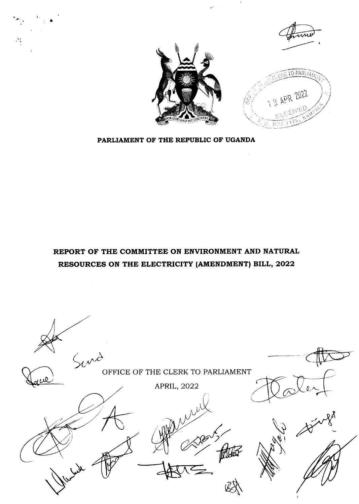

REPORT OF THE COMMITTEE ON ENVIRONMENT AND NATURAL RESOURCES ON THE ELECTRICITY (AMENDMENT) BILL, 2022

PARLIAMENT OF THE REPUBLIC OF UGANDA



L

i.;



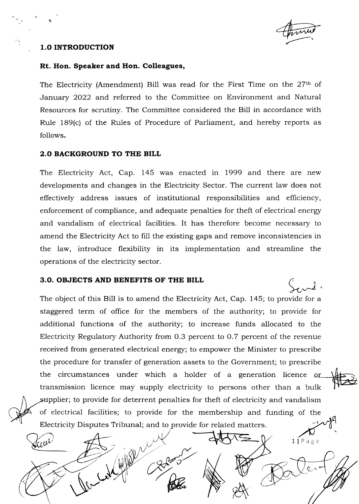

 $1$ [Page

### 1.O INTRODUCTION

D

Aller

#### Rt. Hon. Speaker and Hon. Colleagues,

The Electricity (Amendment) Bill was read for the First Time on the  $27<sup>th</sup>$  of January 2022 and referred to the Committee on Environment and Natural Resources for scrutiny. The Committee considered the Bill in accordance with Rule 189(c) of the Rules of Procedure of Parliament, and hereby reports as follows.

### 2.O BACKGROUND TO THE BILL

The Electricity Act, Cap. 145 was enacted in 1999 and there are new developments and changes in the Electricity Sector. The current law does not effectively address issues of institutional responsibilities and efficiency, enforcement of compliance, and adequate penalties for theft of electrical energr and vandalism of electrical facilities. It has therefore become necessary to amend the Electricity Act to fill the existing gaps and remove inconsistencies in the law, introduce flexibility in its implementation and streamline the operations of the electricity sector.

# 3.O. OBJECTS AND BENEFITS OF THE BILL

Allen

The object of this Bill is to amend the Electricity Act, Cap. 145; to provide for a staggered term of office for the members of the authority; to provide for additional functions of the authority; to increase funds allocated to the Electricity Regulatory Authority from 0.3 percent to 0.7 percent of the revenue received from generated electrical energy; to empower the Minister to prescribe the procedure for transfer of generation assets to the Government; to prescribe the circumstances under which a holder of a generation licence or transmission licence may supply electricity to persons other than a bulk supplier; to provide for deterrent penalties for theft of electricity and vandalism of electrical facilities; to provide for the membership and funding of the Electricity Disputes Tribunal; and to provide for related matters.

 $\tilde{O}$ 

polen 10 pct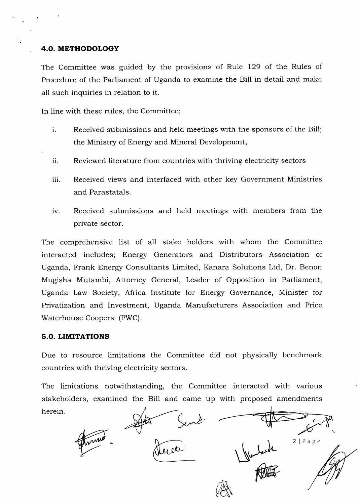# 4.O. METHODOLOGY

The Committee was guided by the provisions of Rule 129 of the Rules of Procedure of the Parliament of Uganda to examine the Bill in detail and make all such inquiries in relation to it.

In line with these rules, the Committee;

- Received submissions and held meetings with the sponsors of the Bill; the Ministry of Energy and Mineral Development, 1.
- ii. Reviewed literature from countries with thriving electricity sectors
- iii. Received views and interfaced with other key Government Ministries and Parastatals.
- iv. Received submissions and held meetings with members from the private sector.

The comprehensive list of all stake holders with whom the Committee interacted includes; Energy Generators and Distributors Association of Uganda, Frank Energy Consultants Limited, Kanara Solutions Ltd, Dr. Benon Mugisha Mutambi, Attorney General, Leader of Opposition in Parliament, Uganda Law Society, Africa Institute for Energr Governance, Minister for Pfivatization and Investment, Uganda Manufacturers Association and Price Waterhouse Coopers (PWC).

# 5.O. LIMITATIONS

Due to resource limitations the Committee did not physically benchmark countries with thriving electricity sectors.

The limitations notwithstanding, the Committee interacted with various stakeholders, examined the Bill and came up with proposed amendments herein

A Radia  $2$ | Page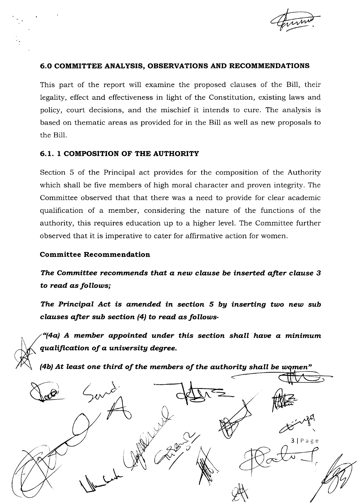

# 6.0 COMMITTEE ANALYSTS, OBSERVATIONS AND RECOMMENDATIONS

This part of the report will examine the proposed ciauses of the Bill, their legality, effect and effectiveness in light of the Constitution, existing laws and policy, court decisions, and the mischief it intends to cure. The analysis is based on thematic areas as provided for in the Bill as well as new proposals to the Bill.

# 6.1. 1 COMPOSITION OF THE AUTHORITY

Section 5 of the Principal act provides for the composition of the Authority which shall be five members of high moral character and proven integrity. The Committee observed that that there was a need to provide for clear academic qualification of a member, considering the nature of the functions of the authority, this requires education up to a higher level. The Committee further observed that it is imperative to cater for affirmative action for women.

## Committee Recommendation

The Committee recommends that a new clause be inserted after clause 3 to read as follows;

The Principal Act is amended in section 5 by inserting two new sub clauses after sub section  $(4)$  to read as follows-

"(4a) A member appointed under this section shall have a minimum qualification of a university degree.

(4b) At least one third of the members of the authority shall be women"

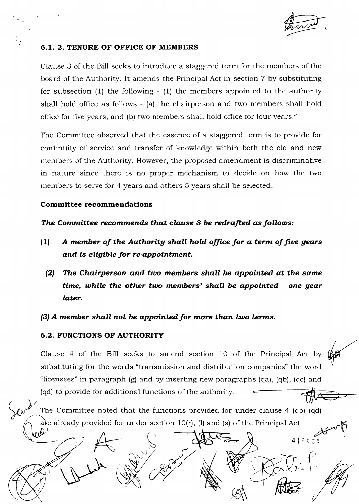## 6.I. 2. TENURE OF OFFICE OF MEMBERS

Clause 3 of the Bill seeks to introduce a staggered term for the members of the board of the Authority. It amends the Principal Act in section 7 by substituting for subsection (1) the following - (1) the members appointed to the authority shall hold office as follows - (a) the chairperson and two members shall hold office for five years; and (b) two members shall hold office for four years."

The Committee observed that the essence of a staggered term is to provide for continuity of service and transfer of knowledge within both the old and new members of the Authority. However, the proposed amendment is discriminative in nature since there is no proper mechanism to decide on how the two members to serve for 4 years and others 5 years shall be selected.

#### Committee recommendations

The Committee recommends that clause 3 be redrafted as follows:

- $(1)$  A member of the Authority shall hold office for a term of five years and is eligible for re-appointment.
	- $(2)$  The Chairperson and two members shall be appointed at the same time, while the other two members' shall be appointed one year later.

 $(3)$  A member shall not be appointed for more than two terms.

## 6.2. FUNCTIONS OF AUTHORITY

Clause 4 of the 8il1 seeks to amend section 10 of the Principal Act by substituting for the words "transmission and distribution companies" the word "licensees" in paragraph (g) and by inserting new paragraphs (qa), (qb), (qc) and (qd) to provide for additional functions of the authority

The Committee noted that the functions provided for under clause 4 (qb) (qd)<br>
are already provided for under section 10(r), (l) and (s) of the Principal Act.<br>  $\bigcup_{\alpha \in \mathbb{R}^d} \bigcup_{\alpha \in \mathbb{R}^d} \bigcap_{\alpha \in \mathbb{R}^d} \bigcap_{\alpha \in \math$ a already provided for under section 10(r), (l) and (s) of the Principal Act

,

.<br>|<br>|<br>|

 $\begin{picture}(120,140) \put(120,140){\makebox(0,0){$A$}} \put(120,140){\makebox(0,0){$A$}} \put(120,140){\makebox(0,0){$A$}} \put(120,140){\makebox(0,0){$A$}} \put(120,140){\makebox(0,0){$A$}} \put(120,140){\makebox(0,0){$A$}} \put(120,140){\makebox(0,0){$B$}} \put(120,140){\makebox(0,0){$B$}} \put(120,140){\makebox(0,0){$B$}}$ 

I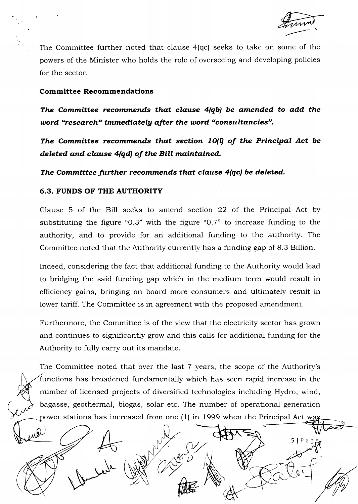5lPag

The Committee further noted that clause 4(qc) seeks to take on some of the powers of the Minister who holds the role of overseeing and developing policies for the sector.

### Committee Recommendations

The Committee recommends that clause 4(qb) be amended to add the word "research" immediately after the word "consultancies".

The Committee recommends that section  $10(1)$  of the Principal Act be deleted and clause 4(qd) of the Bill maintained.

The Committee further recommends that clause 4(qc) be deleted.

## 6.3. FUNDS OF THE AUTHORITY

Clause 5 of the Bill seeks to amend section 22 of the Principal Act by substituting the figure "O.3" with the figure "O.7" to increase funding to the authority, and to provide for an additional funding to the authority. The Committee noted that the Authority currently has a funding gap of 8.3 Billion.

Indeed, considering the fact that additional funding to the Authority would lead to bridging the said funding gap which in the medium term would result in efficiency gains, bringing on board more consumers and ultimately result in lower tariff. The Committee is in agreement with the proposed amendment.

Furthermore, the Committee is of the view that the electricity sector has grown and continues to significantly grow and this calls for additional funding for the Authority to fully carry out its mandate.

The Committee noted that over the last 7 years, the scope of the Authority's functions has broadened fundamentally which has seen rapid increase in the number of licensed projects of diversified technologies including Hydro, wind, bagasse, geothermal, biogas, solar etc. The number of operational generation power stations has increased from one (1) in 1999 when the Principal Act w

 $\tilde{\nu}$ 

**the factor**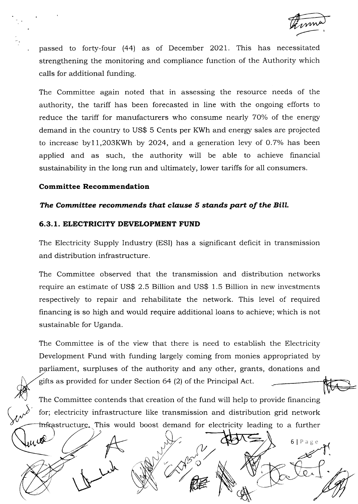$6|Page$ 

passed to forty-four (44) as of December 2021. This has necessitated strengthening the monitoring and compliance function of the Authority which calls for additional funding.

The Committee again noted that in assessing the resource needs of the authority, the tariff has been forecasted in line with the ongoing efforts to reduce the tariff for manufacturers who consume nearly 70% of the energy demand in the country to US\$ 5 Cents per KWh and energy sales are projected to increase by  $11,203KWh$  by  $2024$ , and a generation levy of 0.7% has been applied and as such, the authority will be able to achieve financial sustainability in the long run and ultimately, lower tariffs for all consumers.

#### Committee Recommendation

uiol

#### The Committee recommends that clause 5 stands part of the Bill.

#### 6.3. 1. ELECTRICITY DEVELOPMENT FUND

The Electricity Supply Industry (ESI) has a significant deficit in transmission and distribution infrastructure.

The Committee observed that the transmission and distribution networks require an estimate of US\$ 2.5 Billion and US\$ 1.5 Billion in new investments respectively to repair and rehabilitate the network. This level of required financing is so high and would require additional loans to achieve; which is not sustainable for Uganda.

The Committee is of the view that there is need to establish the Electricity Development Fund with funding largely coming from monies appropriated by parliament, surpluses of the authority and any other, grants, donations and gifts as provided for under Section 64 (2) of the Principal Act

The Committee contends that creation of the fund will help to provide financing for; electricity infrastructure like transmission and distribution grid network tructure. This would boost demand for electricity leading to a further

 $\vee$   $\wedge$   $\vee$   $\circ$ 

**NOW WEBST** RE N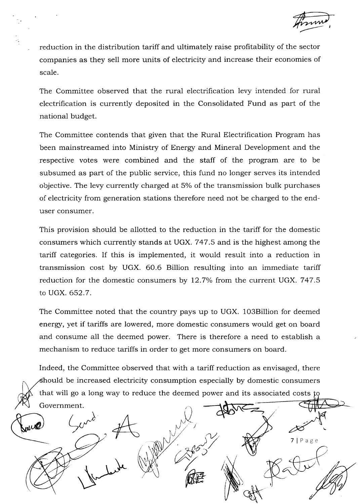reduction in the distribution tariff and ultimately raise profitability of the sector companies as they sell more units of electricity and increase their economies of scale.

The Committee observed that the rural electrification levy intended for rural electrification is currently deposited in the Consolidated Fund as part of the national budget.

The Committee contends that given that the Rural Electrification Program has been mainstreamed into Ministry of Energy and Mineral Development and the respective votes were combined and the staff of the program are to be subsumed as part of the public service, this fund no longer serves its intended objective. The levy currently charged at 5% of the transmission bulk purchases of electricity from generation stations therefore need not be charged to the enduser consumer.

This provision should be allotted to the reduction in the tariff for the domestic consumers which currently stands at UGX. 747.5 and is the highest among the tariff categories. If this is implemented, it would result into a reduction in transmission cost by UGX. 60.6 Billion resulting into an immediate tariff reduction for the domestic consumers by  $12.7\%$  from the current UGX. 747.5 to UGX. 652.7.

The Committee noted that the country pays up to UGX. 1O3Billion for deemed energy, yet if tariffs are lowered, more domestic consumers would get on board and consume all the deemed power. There is therefore a need to establish a mechanism to reduce tariffs in order to get more consumers on board.

Indeed, the Committee observed that with a tariff reduction as envisaged, there should be increased electricity consumption especially by domestic consumers that will go a long way to reduce the deemed power and its associated costs Government.

 $7 | P \text{age}$ q\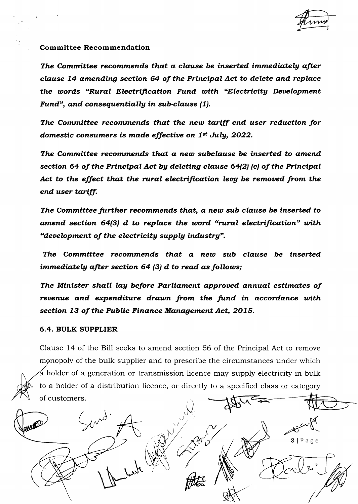### Committee Recommendation

The Committee recommends that a clause be inserted immediately after clause 74 amending section 64 of the Principal Act to delete and replace the words "Rural Electrification Fund with "Electricity Development Fund", and consequentially in sub-clause (1).

The Committee recommends that the new tariff end user reduction for domestic consumers is made effective on  $1^{st}$  July, 2022.

The Committee recommends that a new subclause be inserted to amend section 64 of the Principal Act bg deleting clause 64(2) (c) of the Principal Act to the effect that the rural electrification levy be removed from the end user tariff.

The Committee further recommends that, a new sub clause be inserted to amend section  $64(3)$  d to replace the word "rural electrification" with "development of the electricity supply industry".

The Committee recommends that a new sub clause be inserted immediately after section  $64$  (3) d to read as follows;

The Minister shall lay before Parliament approved annual estimates of revenue and expenditure drawn from the fund in accordance with section 13 of the Public Finance Management Act, 2015.

#### 6,4. BVLK SUPPLIER

Clause L4 of the Bill seeks to amend section 56 of the Principal Act to remove monopoly of the bulk supplier and to prescribe the circumstances under which holder of a generation or transmission licence may supply electricity in bulk to a holder of a distribution licence, or directly to a specified class or category of customers  $\int_0^{\frac{1}{2}}$ 

Send  $\int_{\gamma}$  $8 | P \text{age}$  $\begin{picture}(120,10) \put(0,0){\line(1,0){10}} \put(15,0){\line(1,0){10}} \put(15,0){\line(1,0){10}} \put(15,0){\line(1,0){10}} \put(15,0){\line(1,0){10}} \put(15,0){\line(1,0){10}} \put(15,0){\line(1,0){10}} \put(15,0){\line(1,0){10}} \put(15,0){\line(1,0){10}} \put(15,0){\line(1,0){10}} \put(15,0){\line(1,0){10}} \put(15,0){\line($ (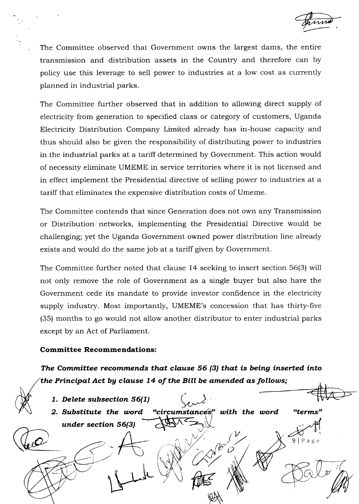The Committee observed that Government owns the largest dams, the entire transmission and distribution assets in the Country and therefore can by policy use this leverage to sell power to industries at a low cost as currently planned in industrial parks.

The Committee further observed that in addition to allowing direct supply of electricity from generation to specified class or category of customers, Uganda Electricity Distribution Company Limited already has in-house capacity and thus should also be given the responsibility of distributing power to industries in the industrial parks at a tariff determined by Government. This action would of necessity eliminate UMEME in service territories where it is not licensed and in effect implement the Presidential directive of selling power to industries at a tariff that eliminates the expensive distribution costs of Umeme.

The Committee contends that since Generation does not own any Transmission or Distribution networks, implementing the Presidential Directive would be challenging; yet the Uganda Government owned power distribution line already exists and would do the same job at a tariff given by Government.

The Committee further noted that clause 14 seeking to insert section 56(3) will not only remove the role of Government as a single buyer but also have the Government cede its mandate to provide investor confidence in the electricity supply industry. Most importantly, UMEME's concession that has thirty-five (35) months to go would not allow another distributor to enter industrial parks except by an Act of Parliament.

## Committee Recommendations:

The Committee recommends that clause 56  $(3)$  that is being inserted into the Principal Act by clause  $14$  of the Bill be amended as follows;

1. Delete subsection 56(1) 2. Substitute the word under section 56(3) with the word "terms"  $\frac{\nu}{\sqrt{2}}$ PHE et  $\hat{\nu}$  $9 | P a g e$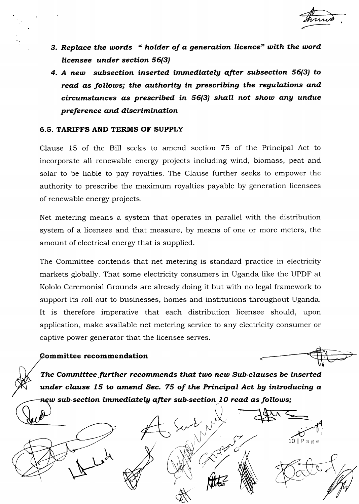- 3. Replace the words " holder of a generation licence" with the word licensee under section 56(3)
- 4. A new subsection inserted immediately after subsection 56(3) to read as follows; the authority in prescribing the regulations and  $circumstances$  as prescribed in  $56(3)$  shall not show any undue preference and discrimination

# 6.5. TARIFFS AND TERMS OF SUPPLY

Clause 15 of the Bill seeks to amend section 75 of the Principal Act to incorporate all renewable energy projects including wind, biomass, peat and solar to be liable to pay royalties. The Clause further seeks to empower the authority to prescribe the maximum royalties payable by generation licensees of renewable energr projects.

Net metering means a system that operates in parallel with the distribution system of a licensee and that measure, by means of one or more meters, the amount of electrical energr that is supplied.

The Committee contends that net metering is standard practice in electricity markets globally. That some electricity consumers in Uganda like the UPDF at Kololo Ceremonial Grounds are already doing it but with no legal framework to support its roll out to businesses, homes and institutions throughout Uganda. It is therefore imperative that each distribution licensee should, upon application, make available net metering service to any electricity consumer or captive power generator that the licensee serves.

## **Committee recommendation**

 $H_{\bullet}$ 

 $10$ |Page

n  $\checkmark$ 

The Committee further recommends that two new Sub-clauses be inserted under clause 15 to amend Sec. 75 of the Principal Act by introducing  $a$  $s$ uew sub-section immediately after sub-section  $10$  read as follows;

e<br>K

Alta NW

Change C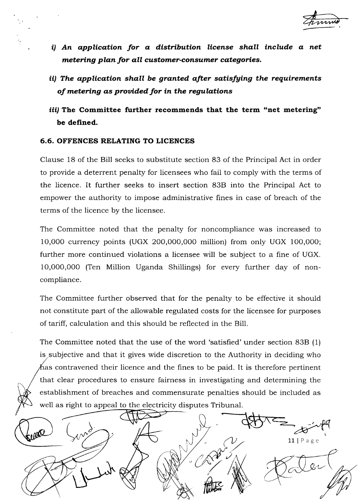

- $i)$  An application for a distribution license shall include a net metering plan for all customer-consumer categories.
- ii) The application shall be granted afier satisfging the requirements of metering as prouided for in the regulations
- iii) The Committee further recommends that the term "net metering" be defined.

# 6.6. OFFENCES RELATING TO LICENCES

Clause 18 of the Bill seeks to substitute section 83 of the Principal Act in order to provide a deterrent penalty for licensees who fail to comply with the terms of the licence. It further seeks to insert section 83B into the Principal Act to empower the authority to impose administrative fines in case of breach of the terms of the licence by the licensee.

The Committee noted that the penalty for noncompliance was increased to 10,000 currency points (UGX 200,000,000 million) from only UGX 100,000; further more continued violations a licensee will be subject to a fine of UGX. 10,000,000 (Ten Million Uganda Shiilings) for every further day of noncompliance.

The Committee further observed that for the penalty to be effective it should not constitute part of the allowable regulated costs for the licensee for purposes of tariff, calculation and this should be reflected in the Bill.

The Committee noted that the use of the word 'satisfied' under section 83B (1) is subjective and that it gives wide discretion to the Authority in deciding who  $\hbar$ as contravened their licence and the fines to be paid. It is therefore pertinent that clear procedures to ensure fairness in investigating and determining the establishment of breaches and commensurate penalties should be included as well as right to appeal to the electricity disputes Tribunal.

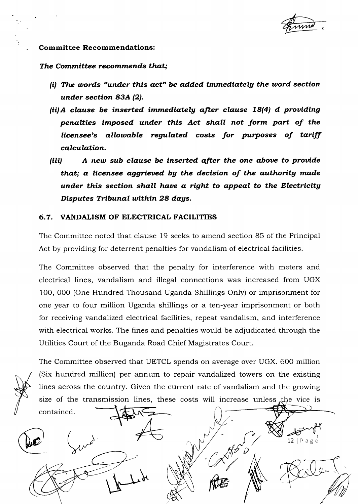12 | Page

 $Q \sim$ 

## Committee Recommendations:

#### The Committee recommends that;

- (i) The words "under this act" be added immediately the word section under section 83A (2).
- (ii) A clause be inserted immediately after clause 18(4) d providing penalties imposed under this Act shall not form part of the licensee's allowable regulated costs for purposes of tariff calculation.
- (iii) A new sub clause be inserted after the one above to provide that; a licensee aggrieved by the decision of the authority made under this section shall have a right to appeal to the Electricity Disputes Tribunal within 28 days.

#### 6,7. VANDALISM OF ELECTRICAL FACILITIES

The Committee noted that clause 19 seeks to amend section 85 of the Principal Act by providing for deterrent penalties for vandalism of electrical facilities.

The Committee observed that the penalty for interference with meters and electrical lines, vandalism and illegal connections was increased from UGX 100, 000 (One Hundred Thousand Uganda Shillings Only) or imprisonment for one year to four million Uganda shillings or a ten-year imprisonment or both for receiving vandalized electrical facilities, repeat vandalism, and interference with electrical works. The fines and penalties would be adjudicated through the Utilities Court of the Buganda Road Chief Magistrates Court.

contained.

The Committee observed that UETCL spends on average over UGX. 6OO million (Six hundred million) per annum to repair vandalized towers on the existing lines across the country. Given the current rate of vandalism and the growing size of the transmission lines, these costs will increase unless the vice is

**ME** 

 $Q = \frac{1}{\sqrt{2\pi}} \int_{\frac{1}{2\pi}} \int_{\frac{1}{2\pi}} \int_{\frac{1}{2\pi}} \int_{\frac{1}{2\pi}} \int_{\frac{1}{2\pi}}$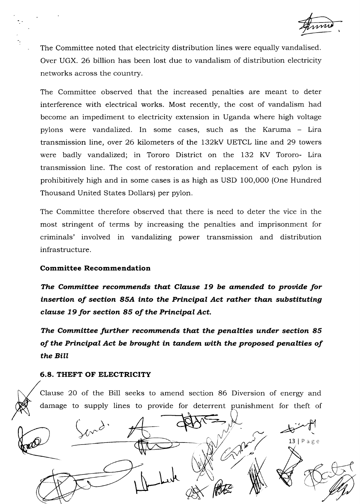The Committee noted that electricity distribution lines were equally vandalised. Over UGX. 26 billion has been lost due to vandalism of distribution electricity networks across the country.

The Committee observed that the increased penalties are meant to deter interference with electrical works. Most recently, the cost of vandalism had become an impediment to electricity extension in Uganda where high voltage pylons were vandalized. In some cases, such as the Karuma - Lira transmission line, over 26 kilometers of the 132kV UETCL line and 29 towers were badly vandalized; in Tororo District on the 132 KV Tororo- Lira transmission line. The cost of restoration and replacement of each pylon is prohibitively high and in some cases is as high as USD 10O,00O (One Hundred Thousand United States Dollars) per pylon.

The Committee therefore observed that there is need to deter the vice in the most stringent of terms by increasing the penalties and imprisonment for criminals' involved in vandalizing power transmission and distribution infrastructure.

# Committee Recommendation

The Committee recommends that Clause 19 be amended to provide for insertion of section 85A into the Principal Act rather than substituting clause 79 for section 85 of the Principal Act.

The Committee further recommends that the penalties under section 85 of the Principal Act be brought in tandem utith the proposed penalties of the Bill

#### 6.8. THEFT OF ELECTRICITY

Clause 20 of the Bill seeks to amend section 86 Diversion of energy and damage to supply lines to provide for deterrent punishment for theft of

A-infl  $\,$  $\mathcal{M}^{\mathcal{G}}$ 13 |  $P$  a g e a\$ No.  $\mathscr{Q}\!\!\mathscr{S}\!\!\mathscr{N}$